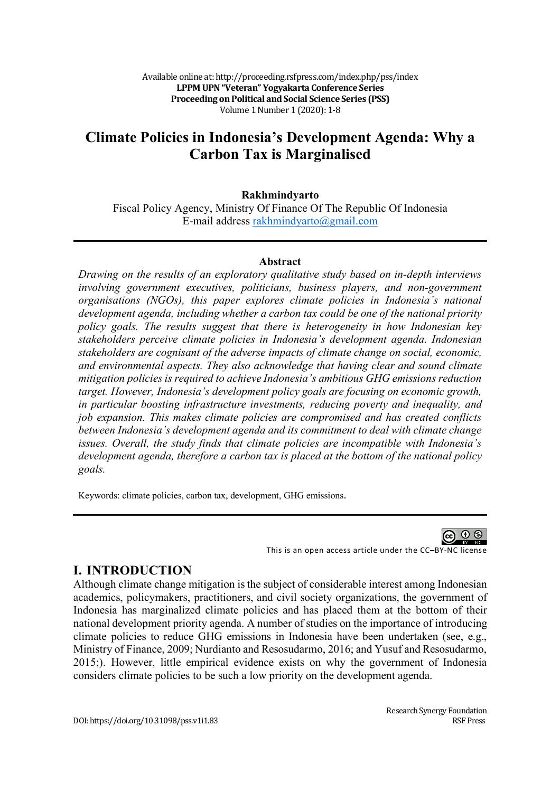Available online at: http://proceeding.rsfpress.com/index.php/pss/index LPPM UPN "Veteran" Yogyakarta Conference Series **Proceeding on Political and Social Science Series (PSS)** Volume 1 Number 1 (2020): 1-8

# **Climate Policies in Indonesia's Development Agenda: Why a Carbon Tax is Marginalised**

#### **Rakhmindyarto**

Fiscal Policy Agency, Ministry Of Finance Of The Republic Of Indonesia E-mail address rakhmindyarto@gmail.com

#### **Abstract**

*Drawing on the results of an exploratory qualitative study based on in-depth interviews involving government executives, politicians, business players, and non-government organisations (NGOs), this paper explores climate policies in Indonesia's national development agenda, including whether a carbon tax could be one of the national priority policy goals. The results suggest that there is heterogeneity in how Indonesian key stakeholders perceive climate policies in Indonesia's development agenda. Indonesian stakeholders are cognisant of the adverse impacts of climate change on social, economic, and environmental aspects. They also acknowledge that having clear and sound climate mitigation policies is required to achieve Indonesia's ambitious GHG emissions reduction target. However, Indonesia's development policy goals are focusing on economic growth, in particular boosting infrastructure investments, reducing poverty and inequality, and job expansion. This makes climate policies are compromised and has created conflicts between Indonesia's development agenda and its commitment to deal with climate change issues. Overall, the study finds that climate policies are incompatible with Indonesia's development agenda, therefore a carbon tax is placed at the bottom of the national policy goals.*

Keywords: climate policies, carbon tax, development, GHG emissions.

60 Q

This is an open access article under the CC–BY-NC license

### **I. INTRODUCTION**

Although climate change mitigation is the subject of considerable interest among Indonesian academics, policymakers, practitioners, and civil society organizations, the government of Indonesia has marginalized climate policies and has placed them at the bottom of their national development priority agenda. A number of studies on the importance of introducing climate policies to reduce GHG emissions in Indonesia have been undertaken (see, e.g., Ministry of Finance, 2009; Nurdianto and Resosudarmo, 2016; and Yusuf and Resosudarmo, 2015;). However, little empirical evidence exists on why the government of Indonesia considers climate policies to be such a low priority on the development agenda.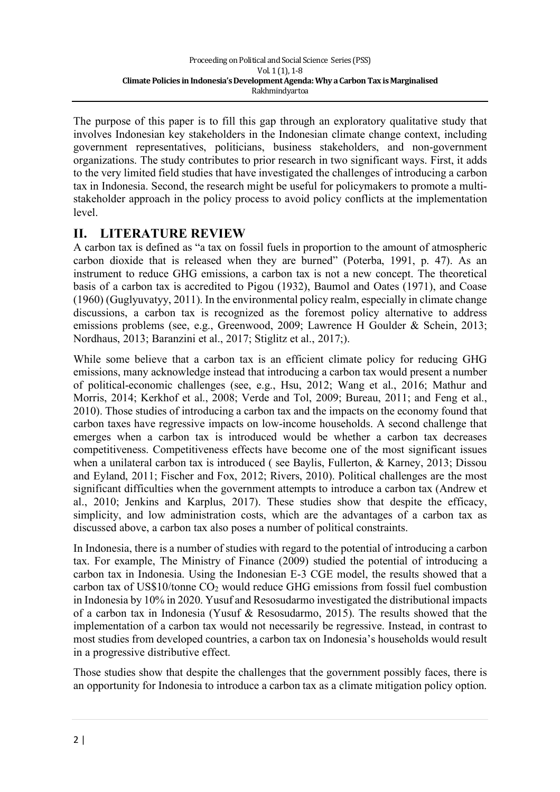The purpose of this paper is to fill this gap through an exploratory qualitative study that involves Indonesian key stakeholders in the Indonesian climate change context, including government representatives, politicians, business stakeholders, and non-government organizations. The study contributes to prior research in two significant ways. First, it adds to the very limited field studies that have investigated the challenges of introducing a carbon tax in Indonesia. Second, the research might be useful for policymakers to promote a multistakeholder approach in the policy process to avoid policy conflicts at the implementation level.

## **II. LITERATURE REVIEW**

A carbon tax is defined as "a tax on fossil fuels in proportion to the amount of atmospheric carbon dioxide that is released when they are burned" (Poterba, 1991, p. 47). As an instrument to reduce GHG emissions, a carbon tax is not a new concept. The theoretical basis of a carbon tax is accredited to Pigou (1932), Baumol and Oates (1971), and Coase (1960) (Guglyuvatyy, 2011). In the environmental policy realm, especially in climate change discussions, a carbon tax is recognized as the foremost policy alternative to address emissions problems (see, e.g., Greenwood, 2009; Lawrence H Goulder & Schein, 2013; Nordhaus, 2013; Baranzini et al., 2017; Stiglitz et al., 2017;).

While some believe that a carbon tax is an efficient climate policy for reducing GHG emissions, many acknowledge instead that introducing a carbon tax would present a number of political-economic challenges (see, e.g., Hsu, 2012; Wang et al., 2016; Mathur and Morris, 2014; Kerkhof et al., 2008; Verde and Tol, 2009; Bureau, 2011; and Feng et al., 2010). Those studies of introducing a carbon tax and the impacts on the economy found that carbon taxes have regressive impacts on low-income households. A second challenge that emerges when a carbon tax is introduced would be whether a carbon tax decreases competitiveness. Competitiveness effects have become one of the most significant issues when a unilateral carbon tax is introduced (see Baylis, Fullerton, & Karney, 2013; Dissou and Eyland, 2011; Fischer and Fox, 2012; Rivers, 2010). Political challenges are the most significant difficulties when the government attempts to introduce a carbon tax (Andrew et al., 2010; Jenkins and Karplus, 2017). These studies show that despite the efficacy, simplicity, and low administration costs, which are the advantages of a carbon tax as discussed above, a carbon tax also poses a number of political constraints.

In Indonesia, there is a number of studies with regard to the potential of introducing a carbon tax. For example, The Ministry of Finance (2009) studied the potential of introducing a carbon tax in Indonesia. Using the Indonesian E-3 CGE model, the results showed that a carbon tax of US\$10/tonne  $CO<sub>2</sub>$  would reduce GHG emissions from fossil fuel combustion in Indonesia by 10% in 2020. Yusuf and Resosudarmo investigated the distributional impacts of a carbon tax in Indonesia (Yusuf & Resosudarmo, 2015). The results showed that the implementation of a carbon tax would not necessarily be regressive. Instead, in contrast to most studies from developed countries, a carbon tax on Indonesia's households would result in a progressive distributive effect.

Those studies show that despite the challenges that the government possibly faces, there is an opportunity for Indonesia to introduce a carbon tax as a climate mitigation policy option.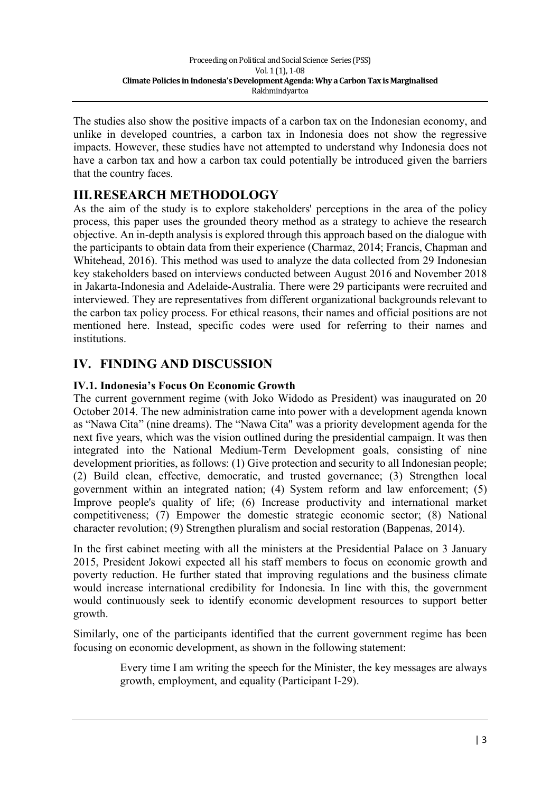The studies also show the positive impacts of a carbon tax on the Indonesian economy, and unlike in developed countries, a carbon tax in Indonesia does not show the regressive impacts. However, these studies have not attempted to understand why Indonesia does not have a carbon tax and how a carbon tax could potentially be introduced given the barriers that the country faces.

# **III.RESEARCH METHODOLOGY**

As the aim of the study is to explore stakeholders' perceptions in the area of the policy process, this paper uses the grounded theory method as a strategy to achieve the research objective. An in-depth analysis is explored through this approach based on the dialogue with the participants to obtain data from their experience (Charmaz, 2014; Francis, Chapman and Whitehead, 2016). This method was used to analyze the data collected from 29 Indonesian key stakeholders based on interviews conducted between August 2016 and November 2018 in Jakarta-Indonesia and Adelaide-Australia. There were 29 participants were recruited and interviewed. They are representatives from different organizational backgrounds relevant to the carbon tax policy process. For ethical reasons, their names and official positions are not mentioned here. Instead, specific codes were used for referring to their names and institutions.

# **IV. FINDING AND DISCUSSION**

### **IV.1. Indonesia's Focus On Economic Growth**

The current government regime (with Joko Widodo as President) was inaugurated on 20 October 2014. The new administration came into power with a development agenda known as "Nawa Cita" (nine dreams). The "Nawa Cita" was a priority development agenda for the next five years, which was the vision outlined during the presidential campaign. It was then integrated into the National Medium-Term Development goals, consisting of nine development priorities, as follows: (1) Give protection and security to all Indonesian people; (2) Build clean, effective, democratic, and trusted governance; (3) Strengthen local government within an integrated nation; (4) System reform and law enforcement; (5) Improve people's quality of life; (6) Increase productivity and international market competitiveness; (7) Empower the domestic strategic economic sector; (8) National character revolution; (9) Strengthen pluralism and social restoration (Bappenas, 2014).

In the first cabinet meeting with all the ministers at the Presidential Palace on 3 January 2015, President Jokowi expected all his staff members to focus on economic growth and poverty reduction. He further stated that improving regulations and the business climate would increase international credibility for Indonesia. In line with this, the government would continuously seek to identify economic development resources to support better growth.

Similarly, one of the participants identified that the current government regime has been focusing on economic development, as shown in the following statement:

> Every time I am writing the speech for the Minister, the key messages are always growth, employment, and equality (Participant I-29).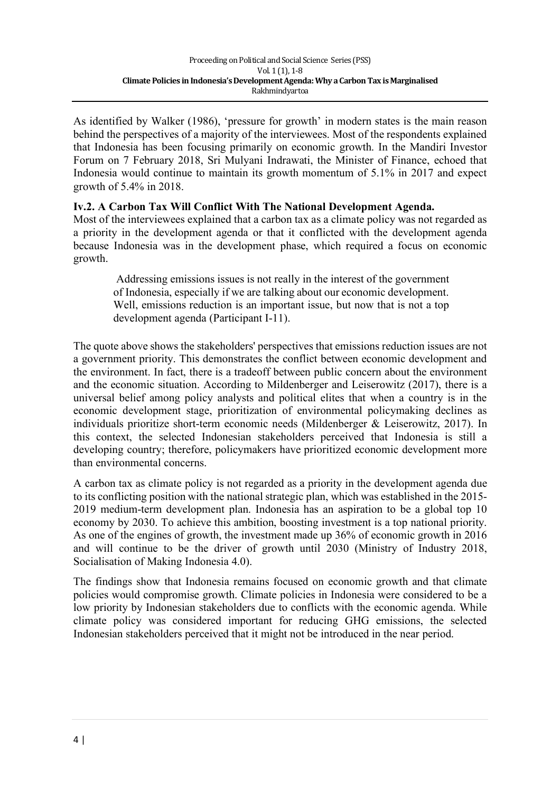As identified by Walker (1986), 'pressure for growth' in modern states is the main reason behind the perspectives of a majority of the interviewees. Most of the respondents explained that Indonesia has been focusing primarily on economic growth. In the Mandiri Investor Forum on 7 February 2018, Sri Mulyani Indrawati, the Minister of Finance, echoed that Indonesia would continue to maintain its growth momentum of 5.1% in 2017 and expect growth of 5.4% in 2018.

### **Iv.2. A Carbon Tax Will Conflict With The National Development Agenda.**

Most of the interviewees explained that a carbon tax as a climate policy was not regarded as a priority in the development agenda or that it conflicted with the development agenda because Indonesia was in the development phase, which required a focus on economic growth.

Addressing emissions issues is not really in the interest of the government of Indonesia, especially if we are talking about our economic development. Well, emissions reduction is an important issue, but now that is not a top development agenda (Participant I-11).

The quote above shows the stakeholders' perspectives that emissions reduction issues are not a government priority. This demonstrates the conflict between economic development and the environment. In fact, there is a tradeoff between public concern about the environment and the economic situation. According to Mildenberger and Leiserowitz (2017), there is a universal belief among policy analysts and political elites that when a country is in the economic development stage, prioritization of environmental policymaking declines as individuals prioritize short-term economic needs (Mildenberger & Leiserowitz, 2017). In this context, the selected Indonesian stakeholders perceived that Indonesia is still a developing country; therefore, policymakers have prioritized economic development more than environmental concerns.

A carbon tax as climate policy is not regarded as a priority in the development agenda due to its conflicting position with the national strategic plan, which was established in the 2015- 2019 medium-term development plan. Indonesia has an aspiration to be a global top 10 economy by 2030. To achieve this ambition, boosting investment is a top national priority. As one of the engines of growth, the investment made up 36% of economic growth in 2016 and will continue to be the driver of growth until 2030 (Ministry of Industry 2018, Socialisation of Making Indonesia 4.0).

The findings show that Indonesia remains focused on economic growth and that climate policies would compromise growth. Climate policies in Indonesia were considered to be a low priority by Indonesian stakeholders due to conflicts with the economic agenda. While climate policy was considered important for reducing GHG emissions, the selected Indonesian stakeholders perceived that it might not be introduced in the near period.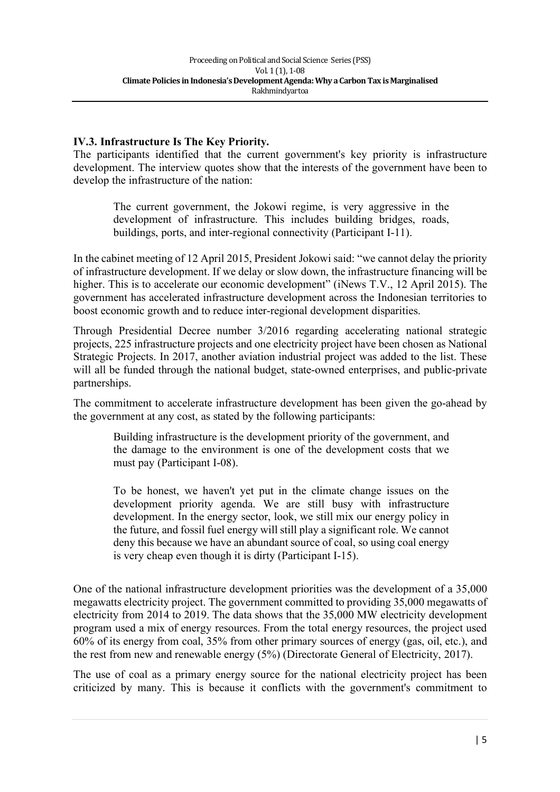#### **IV.3. Infrastructure Is The Key Priority.**

The participants identified that the current government's key priority is infrastructure development. The interview quotes show that the interests of the government have been to develop the infrastructure of the nation:

The current government, the Jokowi regime, is very aggressive in the development of infrastructure. This includes building bridges, roads, buildings, ports, and inter-regional connectivity (Participant I-11).

In the cabinet meeting of 12 April 2015, President Jokowi said: "we cannot delay the priority of infrastructure development. If we delay or slow down, the infrastructure financing will be higher. This is to accelerate our economic development" (iNews T.V., 12 April 2015). The government has accelerated infrastructure development across the Indonesian territories to boost economic growth and to reduce inter-regional development disparities.

Through Presidential Decree number 3/2016 regarding accelerating national strategic projects, 225 infrastructure projects and one electricity project have been chosen as National Strategic Projects. In 2017, another aviation industrial project was added to the list. These will all be funded through the national budget, state-owned enterprises, and public-private partnerships.

The commitment to accelerate infrastructure development has been given the go-ahead by the government at any cost, as stated by the following participants:

Building infrastructure is the development priority of the government, and the damage to the environment is one of the development costs that we must pay (Participant I-08).

To be honest, we haven't yet put in the climate change issues on the development priority agenda. We are still busy with infrastructure development. In the energy sector, look, we still mix our energy policy in the future, and fossil fuel energy will still play a significant role. We cannot deny this because we have an abundant source of coal, so using coal energy is very cheap even though it is dirty (Participant I-15).

One of the national infrastructure development priorities was the development of a 35,000 megawatts electricity project. The government committed to providing 35,000 megawatts of electricity from 2014 to 2019. The data shows that the 35,000 MW electricity development program used a mix of energy resources. From the total energy resources, the project used 60% of its energy from coal, 35% from other primary sources of energy (gas, oil, etc.), and the rest from new and renewable energy (5%) (Directorate General of Electricity, 2017).

The use of coal as a primary energy source for the national electricity project has been criticized by many. This is because it conflicts with the government's commitment to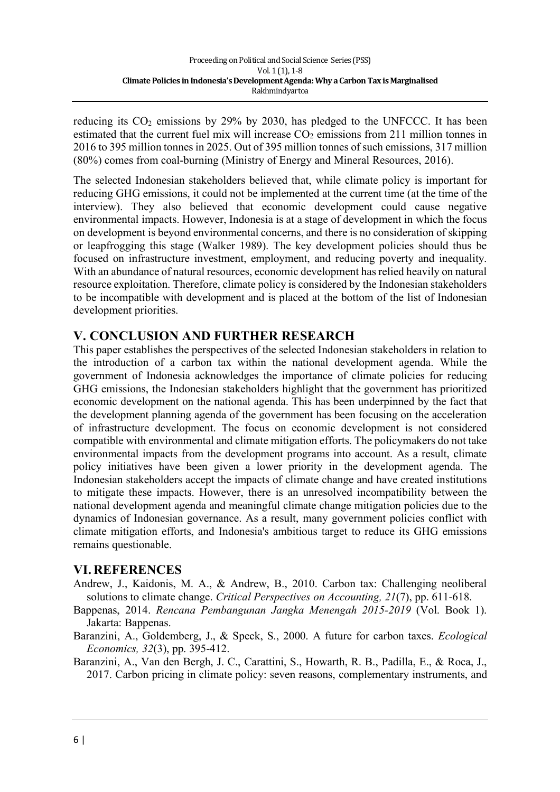reducing its  $CO<sub>2</sub>$  emissions by 29% by 2030, has pledged to the UNFCCC. It has been estimated that the current fuel mix will increase  $CO<sub>2</sub>$  emissions from 211 million tonnes in 2016 to 395 million tonnes in 2025. Out of 395 million tonnes of such emissions, 317 million (80%) comes from coal-burning (Ministry of Energy and Mineral Resources, 2016).

The selected Indonesian stakeholders believed that, while climate policy is important for reducing GHG emissions, it could not be implemented at the current time (at the time of the interview). They also believed that economic development could cause negative environmental impacts. However, Indonesia is at a stage of development in which the focus on development is beyond environmental concerns, and there is no consideration of skipping or leapfrogging this stage (Walker 1989). The key development policies should thus be focused on infrastructure investment, employment, and reducing poverty and inequality. With an abundance of natural resources, economic development has relied heavily on natural resource exploitation. Therefore, climate policy is considered by the Indonesian stakeholders to be incompatible with development and is placed at the bottom of the list of Indonesian development priorities.

## **V. CONCLUSION AND FURTHER RESEARCH**

This paper establishes the perspectives of the selected Indonesian stakeholders in relation to the introduction of a carbon tax within the national development agenda. While the government of Indonesia acknowledges the importance of climate policies for reducing GHG emissions, the Indonesian stakeholders highlight that the government has prioritized economic development on the national agenda. This has been underpinned by the fact that the development planning agenda of the government has been focusing on the acceleration of infrastructure development. The focus on economic development is not considered compatible with environmental and climate mitigation efforts. The policymakers do not take environmental impacts from the development programs into account. As a result, climate policy initiatives have been given a lower priority in the development agenda. The Indonesian stakeholders accept the impacts of climate change and have created institutions to mitigate these impacts. However, there is an unresolved incompatibility between the national development agenda and meaningful climate change mitigation policies due to the dynamics of Indonesian governance. As a result, many government policies conflict with climate mitigation efforts, and Indonesia's ambitious target to reduce its GHG emissions remains questionable.

## **VI. REFERENCES**

- Andrew, J., Kaidonis, M. A., & Andrew, B., 2010. Carbon tax: Challenging neoliberal solutions to climate change. *Critical Perspectives on Accounting, 21*(7), pp. 611-618.
- Bappenas, 2014. *Rencana Pembangunan Jangka Menengah 2015-2019* (Vol. Book 1). Jakarta: Bappenas.
- Baranzini, A., Goldemberg, J., & Speck, S., 2000. A future for carbon taxes. *Ecological Economics, 32*(3), pp. 395-412.

Baranzini, A., Van den Bergh, J. C., Carattini, S., Howarth, R. B., Padilla, E., & Roca, J., 2017. Carbon pricing in climate policy: seven reasons, complementary instruments, and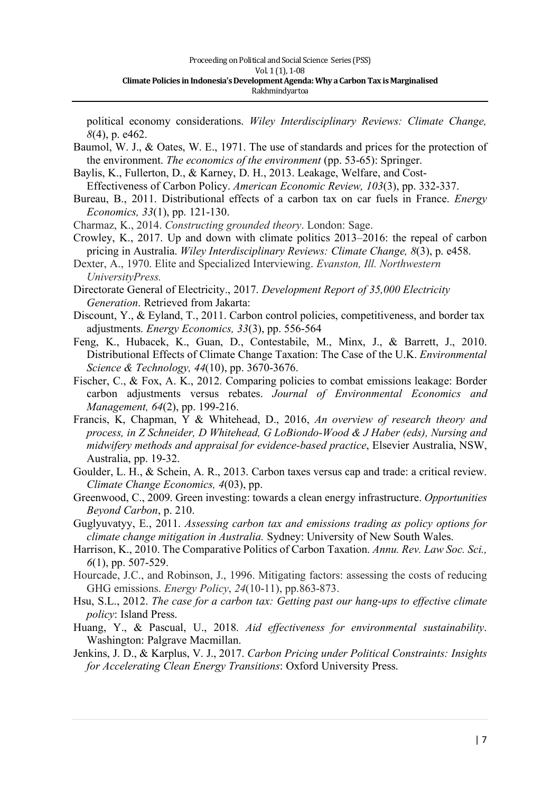political economy considerations. *Wiley Interdisciplinary Reviews: Climate Change, 8*(4), p. e462.

- Baumol, W. J., & Oates, W. E., 1971. The use of standards and prices for the protection of the environment. *The economics of the environment* (pp. 53-65): Springer.
- Baylis, K., Fullerton, D., & Karney, D. H., 2013. Leakage, Welfare, and Cost-Effectiveness of Carbon Policy. *American Economic Review, 103*(3), pp. 332-337.
- Bureau, B., 2011. Distributional effects of a carbon tax on car fuels in France. *Energy Economics, 33*(1), pp. 121-130.
- Charmaz, K., 2014. *Constructing grounded theory*. London: Sage.
- Crowley, K., 2017. Up and down with climate politics 2013–2016: the repeal of carbon pricing in Australia. *Wiley Interdisciplinary Reviews: Climate Change, 8*(3), p. e458.
- Dexter, A., 1970. Elite and Specialized Interviewing. *Evanston, Ill. Northwestern UniversityPress.*
- Directorate General of Electricity., 2017. *Development Report of 35,000 Electricity Generation*. Retrieved from Jakarta:
- Discount, Y., & Eyland, T., 2011. Carbon control policies, competitiveness, and border tax adjustments. *Energy Economics, 33*(3), pp. 556-564
- Feng, K., Hubacek, K., Guan, D., Contestabile, M., Minx, J., & Barrett, J., 2010. Distributional Effects of Climate Change Taxation: The Case of the U.K. *Environmental Science & Technology, 44*(10), pp. 3670-3676.
- Fischer, C., & Fox, A. K., 2012. Comparing policies to combat emissions leakage: Border carbon adjustments versus rebates. *Journal of Environmental Economics and Management, 64*(2), pp. 199-216.
- Francis, K, Chapman, Y & Whitehead, D., 2016, *An overview of research theory and process, in Z Schneider, D Whitehead, G LoBiondo-Wood & J Haber (eds), Nursing and midwifery methods and appraisal for evidence-based practice*, Elsevier Australia, NSW, Australia, pp. 19-32.
- Goulder, L. H., & Schein, A. R., 2013. Carbon taxes versus cap and trade: a critical review. *Climate Change Economics, 4*(03), pp.
- Greenwood, C., 2009. Green investing: towards a clean energy infrastructure. *Opportunities Beyond Carbon*, p. 210.
- Guglyuvatyy, E., 2011. *Assessing carbon tax and emissions trading as policy options for climate change mitigation in Australia.* Sydney: University of New South Wales.
- Harrison, K., 2010. The Comparative Politics of Carbon Taxation. *Annu. Rev. Law Soc. Sci., 6*(1), pp. 507-529.
- Hourcade, J.C., and Robinson, J., 1996. Mitigating factors: assessing the costs of reducing GHG emissions. *Energy Policy*, *24*(10-11), pp.863-873.
- Hsu, S.L., 2012. *The case for a carbon tax: Getting past our hang-ups to effective climate policy*: Island Press.
- Huang, Y., & Pascual, U., 2018. *Aid effectiveness for environmental sustainability*. Washington: Palgrave Macmillan.
- Jenkins, J. D., & Karplus, V. J., 2017. *Carbon Pricing under Political Constraints: Insights for Accelerating Clean Energy Transitions*: Oxford University Press.